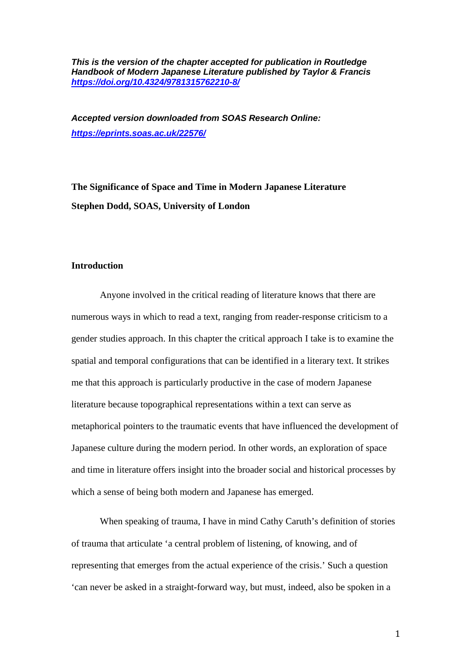*This is the version of the chapter accepted for publication in Routledge Handbook of Modern Japanese Literature published by Taylor & Francis <https://doi.org/10.4324/9781315762210-8/>*

*Accepted version downloaded from SOAS Research Online: <https://eprints.soas.ac.uk/22576/>*

**The Significance of Space and Time in Modern Japanese Literature Stephen Dodd, SOAS, University of London**

# **Introduction**

Anyone involved in the critical reading of literature knows that there are numerous ways in which to read a text, ranging from reader-response criticism to a gender studies approach. In this chapter the critical approach I take is to examine the spatial and temporal configurations that can be identified in a literary text. It strikes me that this approach is particularly productive in the case of modern Japanese literature because topographical representations within a text can serve as metaphorical pointers to the traumatic events that have influenced the development of Japanese culture during the modern period. In other words, an exploration of space and time in literature offers insight into the broader social and historical processes by which a sense of being both modern and Japanese has emerged.

When speaking of trauma, I have in mind Cathy Caruth's definition of stories of trauma that articulate 'a central problem of listening, of knowing, and of representing that emerges from the actual experience of the crisis.' Such a question 'can never be asked in a straight-forward way, but must, indeed, also be spoken in a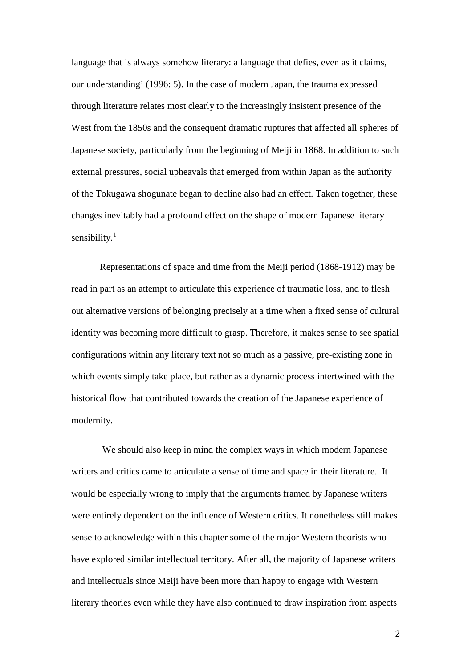language that is always somehow literary: a language that defies, even as it claims, our understanding' (1996: 5). In the case of modern Japan, the trauma expressed through literature relates most clearly to the increasingly insistent presence of the West from the 1850s and the consequent dramatic ruptures that affected all spheres of Japanese society, particularly from the beginning of Meiji in 1868. In addition to such external pressures, social upheavals that emerged from within Japan as the authority of the Tokugawa shogunate began to decline also had an effect. Taken together, these changes inevitably had a profound effect on the shape of modern Japanese literary sensibility.<sup>[1](#page-2-0)</sup>

Representations of space and time from the Meiji period (1868-1912) may be read in part as an attempt to articulate this experience of traumatic loss, and to flesh out alternative versions of belonging precisely at a time when a fixed sense of cultural identity was becoming more difficult to grasp. Therefore, it makes sense to see spatial configurations within any literary text not so much as a passive, pre-existing zone in which events simply take place, but rather as a dynamic process intertwined with the historical flow that contributed towards the creation of the Japanese experience of modernity.

We should also keep in mind the complex ways in which modern Japanese writers and critics came to articulate a sense of time and space in their literature. It would be especially wrong to imply that the arguments framed by Japanese writers were entirely dependent on the influence of Western critics. It nonetheless still makes sense to acknowledge within this chapter some of the major Western theorists who have explored similar intellectual territory. After all, the majority of Japanese writers and intellectuals since Meiji have been more than happy to engage with Western literary theories even while they have also continued to draw inspiration from aspects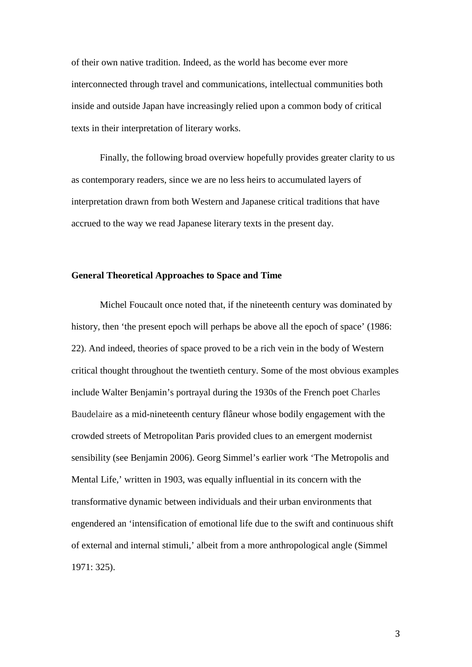of their own native tradition. Indeed, as the world has become ever more interconnected through travel and communications, intellectual communities both inside and outside Japan have increasingly relied upon a common body of critical texts in their interpretation of literary works.

Finally, the following broad overview hopefully provides greater clarity to us as contemporary readers, since we are no less heirs to accumulated layers of interpretation drawn from both Western and Japanese critical traditions that have accrued to the way we read Japanese literary texts in the present day.

### **General Theoretical Approaches to Space and Time**

<span id="page-2-7"></span><span id="page-2-6"></span><span id="page-2-5"></span><span id="page-2-4"></span><span id="page-2-3"></span><span id="page-2-2"></span><span id="page-2-1"></span><span id="page-2-0"></span>Michel Foucault once noted that, if the nineteenth century was dominated by history, then 'the present epoch will perhaps be above all the epoch of space' (1986: 22). And indeed, theories of space proved to be a rich vein in the body of Western critical thought throughout the twentieth century. Some of the most obvious examples include Walter Benjamin's portrayal during the 1930s of the French poet Charles Baudelaire as a mid-nineteenth century flâneur whose bodily engagement with the crowded streets of Metropolitan Paris provided clues to an emergent modernist sensibility (see Benjamin 2006). Georg Simmel's earlier work 'The Metropolis and Mental Life,' written in 1903, was equally influential in its concern with the transformative dynamic between individuals and their urban environments that engendered an 'intensification of emotional life due to the swift and continuous shift of external and internal stimuli,' albeit from a more anthropological angle (Simmel 1971: 325).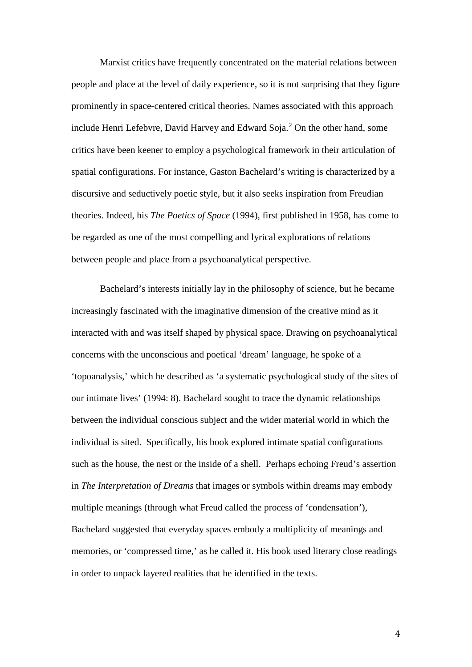<span id="page-3-1"></span><span id="page-3-0"></span>Marxist critics have frequently concentrated on the material relations between people and place at the level of daily experience, so it is not surprising that they figure prominently in space-centered critical theories. Names associated with this approach include Henri Lefebvre, David Harvey and Edward Soja.<sup>[2](#page-2-1)</sup> On the other hand, some critics have been keener to employ a psychological framework in their articulation of spatial configurations. For instance, Gaston Bachelard's writing is characterized by a discursive and seductively poetic style, but it also seeks inspiration from Freudian theories. Indeed, his *The Poetics of Space* (1994), first published in 1958, has come to be regarded as one of the most compelling and lyrical explorations of relations between people and place from a psychoanalytical perspective.

Bachelard's interests initially lay in the philosophy of science, but he became increasingly fascinated with the imaginative dimension of the creative mind as it interacted with and was itself shaped by physical space. Drawing on psychoanalytical concerns with the unconscious and poetical 'dream' language, he spoke of a 'topoanalysis,' which he described as 'a systematic psychological study of the sites of our intimate lives' (1994: 8). Bachelard sought to trace the dynamic relationships between the individual conscious subject and the wider material world in which the individual is sited. Specifically, his book explored intimate spatial configurations such as the house, the nest or the inside of a shell. Perhaps echoing Freud's assertion in *The Interpretation of Dreams* that images or symbols within dreams may embody multiple meanings (through what Freud called the process of 'condensation'), Bachelard suggested that everyday spaces embody a multiplicity of meanings and memories, or 'compressed time,' as he called it. His book used literary close readings in order to unpack layered realities that he identified in the texts.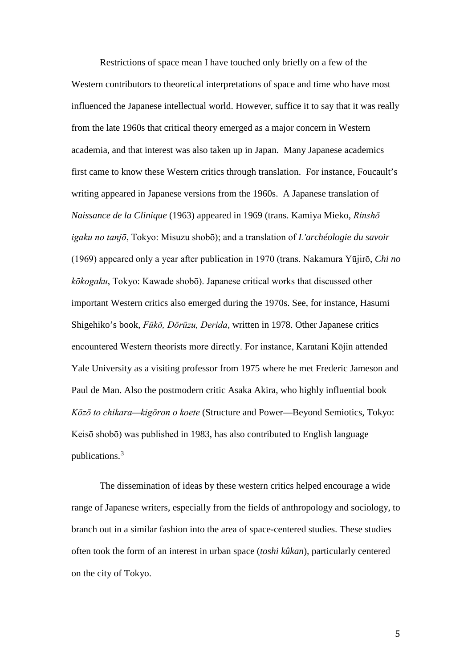<span id="page-4-0"></span>Restrictions of space mean I have touched only briefly on a few of the Western contributors to theoretical interpretations of space and time who have most influenced the Japanese intellectual world. However, suffice it to say that it was really from the late 1960s that critical theory emerged as a major concern in Western academia, and that interest was also taken up in Japan. Many Japanese academics first came to know these Western critics through translation. For instance, Foucault's writing appeared in Japanese versions from the 1960s. A Japanese translation of *Naissance de la Clinique* (1963) appeared in 1969 (trans. Kamiya Mieko, *Rinshō igaku no tanjō*, Tokyo: Misuzu shobō); and a translation of *L'archéologie du savoir*  (1969) appeared only a year after publication in 1970 (trans. Nakamura Yūjirō, *Chi no kōkogaku*, Tokyo: Kawade shobō). Japanese critical works that discussed other important Western critics also emerged during the 1970s. See, for instance, Hasumi Shigehiko's book, *Fūkō, Dōrūzu, Derida*, written in 1978. Other Japanese critics encountered Western theorists more directly. For instance, Karatani Kōjin attended Yale University as a visiting professor from 1975 where he met Frederic Jameson and Paul de Man. Also the postmodern critic Asaka Akira, who highly influential book *Kōzō to chikara—kigōron o koete* (Structure and Power—Beyond Semiotics, Tokyo: Keisō shobō) was published in 1983, has also contributed to English language publications.[3](#page-2-2)

The dissemination of ideas by these western critics helped encourage a wide range of Japanese writers, especially from the fields of anthropology and sociology, to branch out in a similar fashion into the area of space-centered studies. These studies often took the form of an interest in urban space (*toshi kûkan*), particularly centered on the city of Tokyo.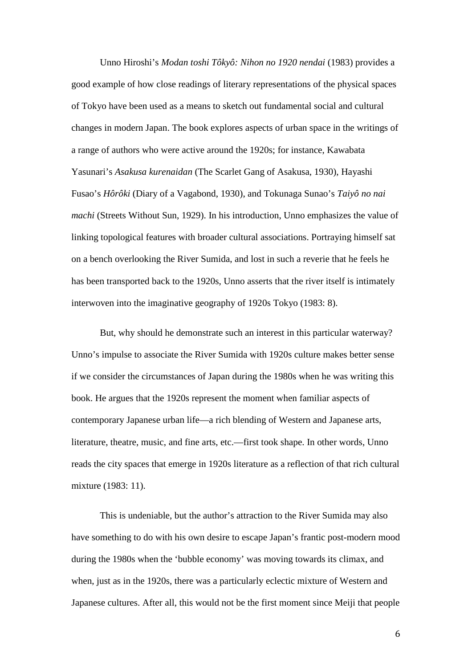Unno Hiroshi's *Modan toshi Tôkyô: Nihon no 1920 nendai* (1983) provides a good example of how close readings of literary representations of the physical spaces of Tokyo have been used as a means to sketch out fundamental social and cultural changes in modern Japan. The book explores aspects of urban space in the writings of a range of authors who were active around the 1920s; for instance, Kawabata Yasunari's *Asakusa kurenaidan* (The Scarlet Gang of Asakusa, 1930), Hayashi Fusao's *Hôrôki* (Diary of a Vagabond, 1930), and Tokunaga Sunao's *Taiyô no nai machi* (Streets Without Sun, 1929). In his introduction, Unno emphasizes the value of linking topological features with broader cultural associations. Portraying himself sat on a bench overlooking the River Sumida, and lost in such a reverie that he feels he has been transported back to the 1920s, Unno asserts that the river itself is intimately interwoven into the imaginative geography of 1920s Tokyo (1983: 8).

But, why should he demonstrate such an interest in this particular waterway? Unno's impulse to associate the River Sumida with 1920s culture makes better sense if we consider the circumstances of Japan during the 1980s when he was writing this book. He argues that the 1920s represent the moment when familiar aspects of contemporary Japanese urban life—a rich blending of Western and Japanese arts, literature, theatre, music, and fine arts, etc.—first took shape. In other words, Unno reads the city spaces that emerge in 1920s literature as a reflection of that rich cultural mixture (1983: 11).

This is undeniable, but the author's attraction to the River Sumida may also have something to do with his own desire to escape Japan's frantic post-modern mood during the 1980s when the 'bubble economy' was moving towards its climax, and when, just as in the 1920s, there was a particularly eclectic mixture of Western and Japanese cultures. After all, this would not be the first moment since Meiji that people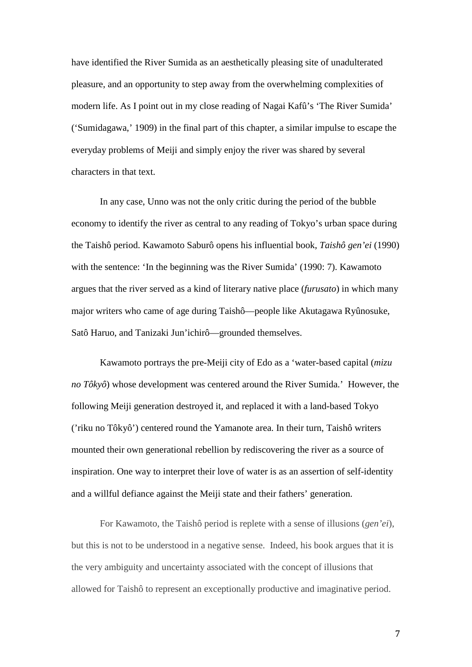have identified the River Sumida as an aesthetically pleasing site of unadulterated pleasure, and an opportunity to step away from the overwhelming complexities of modern life. As I point out in my close reading of Nagai Kafû's 'The River Sumida' ('Sumidagawa,' 1909) in the final part of this chapter, a similar impulse to escape the everyday problems of Meiji and simply enjoy the river was shared by several characters in that text.

In any case, Unno was not the only critic during the period of the bubble economy to identify the river as central to any reading of Tokyo's urban space during the Taishô period. Kawamoto Saburô opens his influential book, *Taishô gen'ei* (1990) with the sentence: 'In the beginning was the River Sumida' (1990: 7). Kawamoto argues that the river served as a kind of literary native place (*furusato*) in which many major writers who came of age during Taishô—people like Akutagawa Ryûnosuke, Satô Haruo, and Tanizaki Jun'ichirô—grounded themselves.

Kawamoto portrays the pre-Meiji city of Edo as a 'water-based capital (*mizu no Tôkyô*) whose development was centered around the River Sumida.' However, the following Meiji generation destroyed it, and replaced it with a land-based Tokyo ('riku no Tôkyô') centered round the Yamanote area. In their turn, Taishô writers mounted their own generational rebellion by rediscovering the river as a source of inspiration. One way to interpret their love of water is as an assertion of self-identity and a willful defiance against the Meiji state and their fathers' generation.

For Kawamoto, the Taishô period is replete with a sense of illusions (*gen'ei*), but this is not to be understood in a negative sense. Indeed, his book argues that it is the very ambiguity and uncertainty associated with the concept of illusions that allowed for Taishô to represent an exceptionally productive and imaginative period.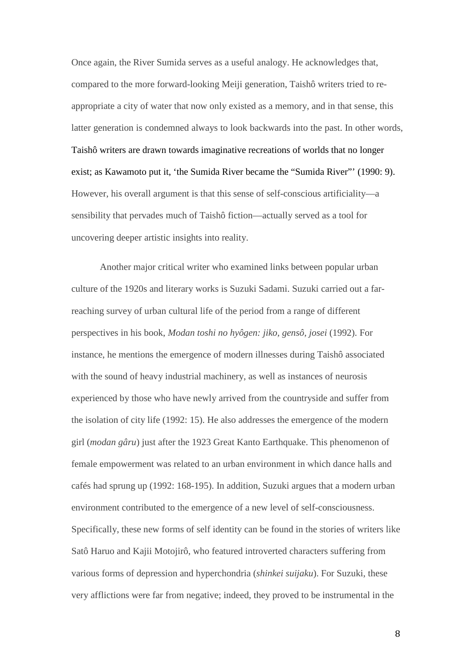Once again, the River Sumida serves as a useful analogy. He acknowledges that, compared to the more forward-looking Meiji generation, Taishô writers tried to reappropriate a city of water that now only existed as a memory, and in that sense, this latter generation is condemned always to look backwards into the past. In other words, Taishô writers are drawn towards imaginative recreations of worlds that no longer exist; as Kawamoto put it, 'the Sumida River became the "Sumida River"' (1990: 9). However, his overall argument is that this sense of self-conscious artificiality—a sensibility that pervades much of Taishô fiction—actually served as a tool for uncovering deeper artistic insights into reality.

Another major critical writer who examined links between popular urban culture of the 1920s and literary works is Suzuki Sadami. Suzuki carried out a farreaching survey of urban cultural life of the period from a range of different perspectives in his book, *Modan toshi no hyôgen: jiko, gensô, josei* (1992). For instance, he mentions the emergence of modern illnesses during Taishô associated with the sound of heavy industrial machinery, as well as instances of neurosis experienced by those who have newly arrived from the countryside and suffer from the isolation of city life (1992: 15). He also addresses the emergence of the modern girl (*modan gâru*) just after the 1923 Great Kanto Earthquake. This phenomenon of female empowerment was related to an urban environment in which dance halls and cafés had sprung up (1992: 168-195). In addition, Suzuki argues that a modern urban environment contributed to the emergence of a new level of self-consciousness. Specifically, these new forms of self identity can be found in the stories of writers like Satô Haruo and Kajii Motojirô, who featured introverted characters suffering from various forms of depression and hyperchondria (*shinkei suijaku*). For Suzuki, these very afflictions were far from negative; indeed, they proved to be instrumental in the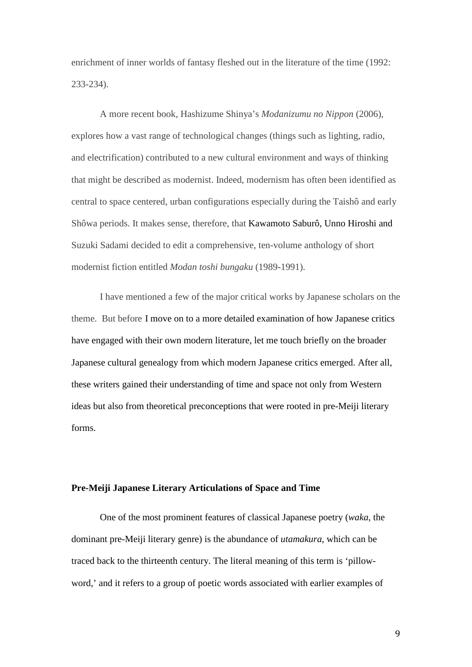enrichment of inner worlds of fantasy fleshed out in the literature of the time (1992: 233-234).

A more recent book, Hashizume Shinya's *Modanizumu no Nippon* (2006), explores how a vast range of technological changes (things such as lighting, radio, and electrification) contributed to a new cultural environment and ways of thinking that might be described as modernist. Indeed, modernism has often been identified as central to space centered, urban configurations especially during the Taishô and early Shôwa periods. It makes sense, therefore, that Kawamoto Saburô, Unno Hiroshi and Suzuki Sadami decided to edit a comprehensive, ten-volume anthology of short modernist fiction entitled *Modan toshi bungaku* (1989-1991).

I have mentioned a few of the major critical works by Japanese scholars on the theme. But before [I](#page-2-3) move on to a more detailed examination of how Japanese critics have engaged with their own modern literature, let me touch briefly on the broader Japanese cultural genealogy from which modern Japanese critics emerged. After all, these writers gained their understanding of time and space not only from Western ideas but also from theoretical preconceptions that were rooted in pre-Meiji literary forms.

## **Pre-Meiji Japanese Literary Articulations of Space and Time**

One of the most prominent features of classical Japanese poetry (*waka*, the dominant pre-Meiji literary genre) is the abundance of *utamakura*, which can be traced back to the thirteenth century. The literal meaning of this term is 'pillowword,' and it refers to a group of poetic words associated with earlier examples of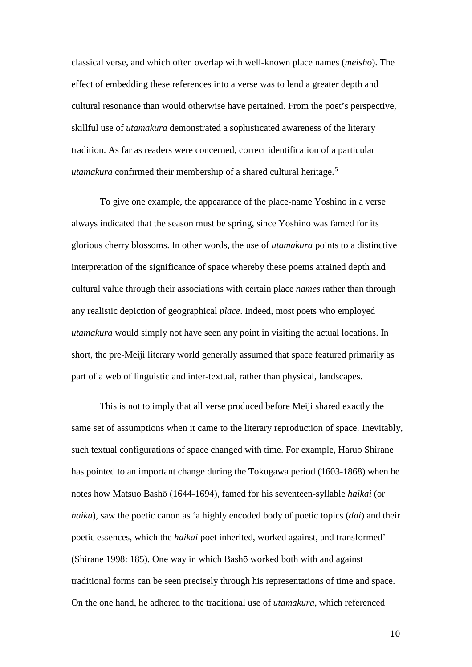classical verse, and which often overlap with well-known place names (*meisho*). The effect of embedding these references into a verse was to lend a greater depth and cultural resonance than would otherwise have pertained. From the poet's perspective, skillful use of *utamakura* demonstrated a sophisticated awareness of the literary tradition. As far as readers were concerned, correct identification of a particular *utamakura* confirmed their membership of a shared cultural heritage.<sup>[5](#page-2-3)</sup>

To give one example, the appearance of the place-name Yoshino in a verse always indicated that the season must be spring, since Yoshino was famed for its glorious cherry blossoms. In other words, the use of *utamakura* points to a distinctive interpretation of the significance of space whereby these poems attained depth and cultural value through their associations with certain place *names* rather than through any realistic depiction of geographical *place*. Indeed, most poets who employed *utamakura* would simply not have seen any point in visiting the actual locations. In short, the pre-Meiji literary world generally assumed that space featured primarily as part of a web of linguistic and inter-textual, rather than physical, landscapes.

This is not to imply that all verse produced before Meiji shared exactly the same set of assumptions when it came to the literary reproduction of space. Inevitably, such textual configurations of space changed with time. For example, Haruo Shirane has pointed to an important change during the Tokugawa period (1603-1868) when he notes how Matsuo Bashō (1644-1694), famed for his seventeen-syllable *haikai* (or *haiku*), saw the poetic canon as 'a highly encoded body of poetic topics (*dai*) and their poetic essences, which the *haikai* poet inherited, worked against, and transformed' (Shirane 1998: 185). One way in which Bashō worked both with and against traditional forms can be seen precisely through his representations of time and space. On the one hand, he adhered to the traditional use of *utamakura*, which referenced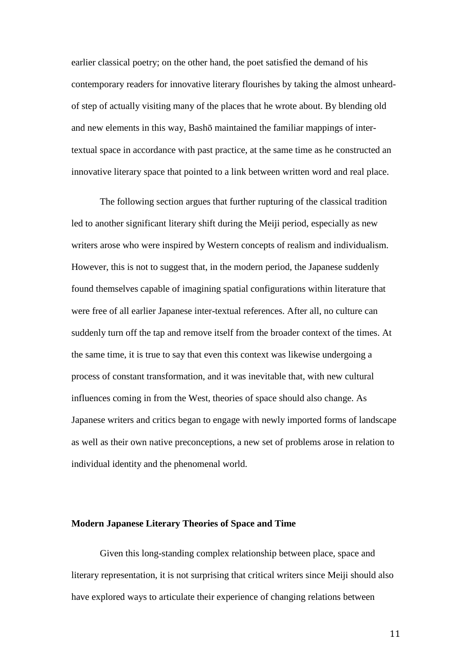earlier classical poetry; on the other hand, the poet satisfied the demand of his contemporary readers for innovative literary flourishes by taking the almost unheardof step of actually visiting many of the places that he wrote about. By blending old and new elements in this way, Bashō maintained the familiar mappings of intertextual space in accordance with past practice, at the same time as he constructed an innovative literary space that pointed to a link between written word and real place.

The following section argues that further rupturing of the classical tradition led to another significant literary shift during the Meiji period, especially as new writers arose who were inspired by Western concepts of realism and individualism. However, this is not to suggest that, in the modern period, the Japanese suddenly found themselves capable of imagining spatial configurations within literature that were free of all earlier Japanese inter-textual references. After all, no culture can suddenly turn off the tap and remove itself from the broader context of the times. At the same time, it is true to say that even this context was likewise undergoing a process of constant transformation, and it was inevitable that, with new cultural influences coming in from the West, theories of space should also change. As Japanese writers and critics began to engage with newly imported forms of landscape as well as their own native preconceptions, a new set of problems arose in relation to individual identity and the phenomenal world.

### **Modern Japanese Literary Theories of Space and Time**

Given this long-standing complex relationship between place, space and literary representation, it is not surprising that critical writers since Meiji should also have explored ways to articulate their experience of changing relations between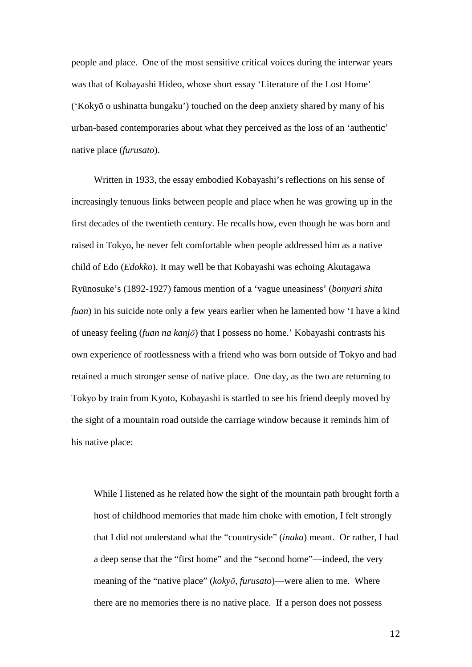people and place. One of the most sensitive critical voices during the interwar years was that of Kobayashi Hideo, whose short essay 'Literature of the Lost Home' ('Kokyō o ushinatta bungaku') touched on the deep anxiety shared by many of his urban-based contemporaries about what they perceived as the loss of an 'authentic' native place (*furusato*).

Written in 1933, the essay embodied Kobayashi's reflections on his sense of increasingly tenuous links between people and place when he was growing up in the first decades of the twentieth century. He recalls how, even though he was born and raised in Tokyo, he never felt comfortable when people addressed him as a native child of Edo (*Edokko*). It may well be that Kobayashi was echoing Akutagawa Ryūnosuke's (1892-1927) famous mention of a 'vague uneasiness' (*bonyari shita fuan*) in his suicide note only a few years earlier when he lamented how 'I have a kind of uneasy feeling (*fuan na kanjō*) that I possess no home.' Kobayashi contrasts his own experience of rootlessness with a friend who was born outside of Tokyo and had retained a much stronger sense of native place. One day, as the two are returning to Tokyo by train from Kyoto, Kobayashi is startled to see his friend deeply moved by the sight of a mountain road outside the carriage window because it reminds him of his native place:

While I listened as he related how the sight of the mountain path brought forth a host of childhood memories that made him choke with emotion, I felt strongly that I did not understand what the "countryside" (*inaka*) meant. Or rather, I had a deep sense that the "first home" and the "second home"—indeed, the very meaning of the "native place" (*kokyō*, *furusato*)—were alien to me. Where there are no memories there is no native place. If a person does not possess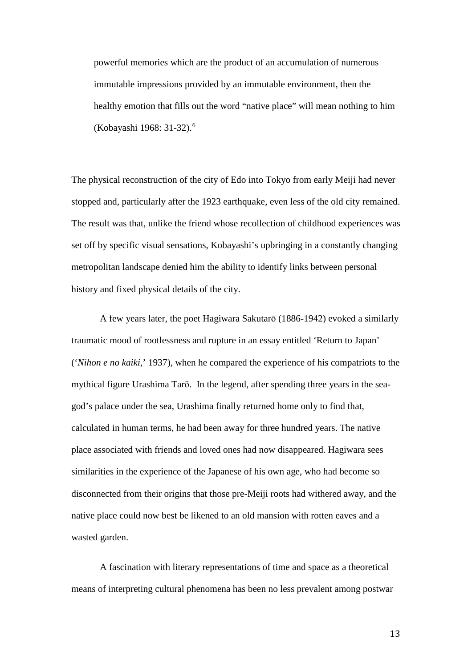powerful memories which are the product of an accumulation of numerous immutable impressions provided by an immutable environment, then the healthy emotion that fills out the word "native place" will mean nothing to him (Kobayashi 1968: 31-32).[6](#page-2-4)

The physical reconstruction of the city of Edo into Tokyo from early Meiji had never stopped and, particularly after the 1923 earthquake, even less of the old city remained. The result was that, unlike the friend whose recollection of childhood experiences was set off by specific visual sensations, Kobayashi's upbringing in a constantly changing metropolitan landscape denied him the ability to identify links between personal history and fixed physical details of the city.

A few years later, the poet Hagiwara Sakutarō (1886-1942) evoked a similarly traumatic mood of rootlessness and rupture in an essay entitled 'Return to Japan' ('*Nihon e no kaiki*,' 1937), when he compared the experience of his compatriots to the mythical figure Urashima Tarō. In the legend, after spending three years in the seagod's palace under the sea, Urashima finally returned home only to find that, calculated in human terms, he had been away for three hundred years. The native place associated with friends and loved ones had now disappeared. Hagiwara sees similarities in the experience of the Japanese of his own age, who had become so disconnected from their origins that those pre-Meiji roots had withered away, and the native place could now best be likened to an old mansion with rotten eaves and a wasted garden.

A fascination with literary representations of time and space as a theoretical means of interpreting cultural phenomena has been no less prevalent among postwar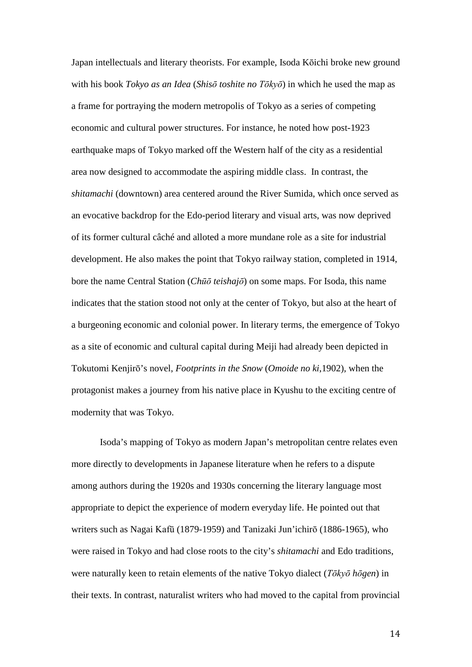Japan intellectuals and literary theorists. For example, Isoda Kōichi broke new ground with his book *Tokyo as an Idea* (*Shisō toshite no Tōkyō*) in which he used the map as a frame for portraying the modern metropolis of Tokyo as a series of competing economic and cultural power structures. For instance, he noted how post-1923 earthquake maps of Tokyo marked off the Western half of the city as a residential area now designed to accommodate the aspiring middle class. In contrast, the *shitamachi* (downtown) area centered around the River Sumida, which once served as an evocative backdrop for the Edo-period literary and visual arts, was now deprived of its former cultural câché and alloted a more mundane role as a site for industrial development. He also makes the point that Tokyo railway station, completed in 1914, bore the name Central Station (*Chūō teishajō*) on some maps. For Isoda, this name indicates that the station stood not only at the center of Tokyo, but also at the heart of a burgeoning economic and colonial power. In literary terms, the emergence of Tokyo as a site of economic and cultural capital during Meiji had already been depicted in Tokutomi Kenjirō's novel, *Footprints in the Snow* (*Omoide no ki*,1902), when the protagonist makes a journey from his native place in Kyushu to the exciting centre of modernity that was Tokyo.

Isoda's mapping of Tokyo as modern Japan's metropolitan centre relates even more directly to developments in Japanese literature when he refers to a dispute among authors during the 1920s and 1930s concerning the literary language most appropriate to depict the experience of modern everyday life. He pointed out that writers such as Nagai Kafū (1879-1959) and Tanizaki Jun'ichirō (1886-1965), who were raised in Tokyo and had close roots to the city's *shitamachi* and Edo traditions, were naturally keen to retain elements of the native Tokyo dialect (*Tōkyō hōgen*) in their texts. In contrast, naturalist writers who had moved to the capital from provincial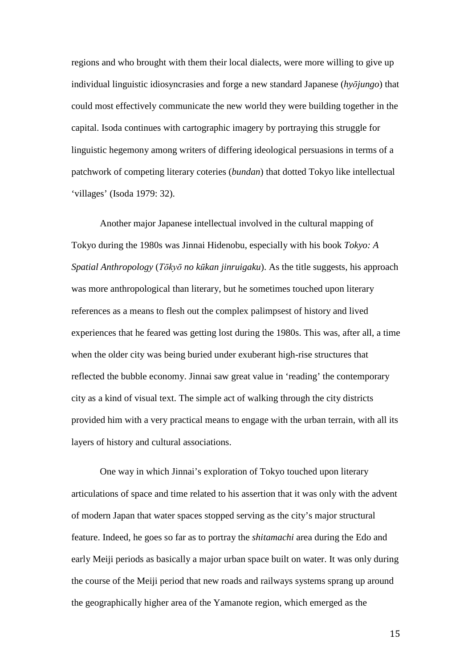regions and who brought with them their local dialects, were more willing to give up individual linguistic idiosyncrasies and forge a new standard Japanese (*hyōjungo*) that could most effectively communicate the new world they were building together in the capital. Isoda continues with cartographic imagery by portraying this struggle for linguistic hegemony among writers of differing ideological persuasions in terms of a patchwork of competing literary coteries (*bundan*) that dotted Tokyo like intellectual 'villages' (Isoda 1979: 32).

Another major Japanese intellectual involved in the cultural mapping of Tokyo during the 1980s was Jinnai Hidenobu, especially with his book *Tokyo: A Spatial Anthropology* (*Tōkyō no kūkan jinruigaku*). As the title suggests, his approach was more anthropological than literary, but he sometimes touched upon literary references as a means to flesh out the complex palimpsest of history and lived experiences that he feared was getting lost during the 1980s. This was, after all, a time when the older city was being buried under exuberant high-rise structures that reflected the bubble economy. Jinnai saw great value in 'reading' the contemporary city as a kind of visual text. The simple act of walking through the city districts provided him with a very practical means to engage with the urban terrain, with all its layers of history and cultural associations.

One way in which Jinnai's exploration of Tokyo touched upon literary articulations of space and time related to his assertion that it was only with the advent of modern Japan that water spaces stopped serving as the city's major structural feature. Indeed, he goes so far as to portray the *shitamachi* area during the Edo and early Meiji periods as basically a major urban space built on water. It was only during the course of the Meiji period that new roads and railways systems sprang up around the geographically higher area of the Yamanote region, which emerged as the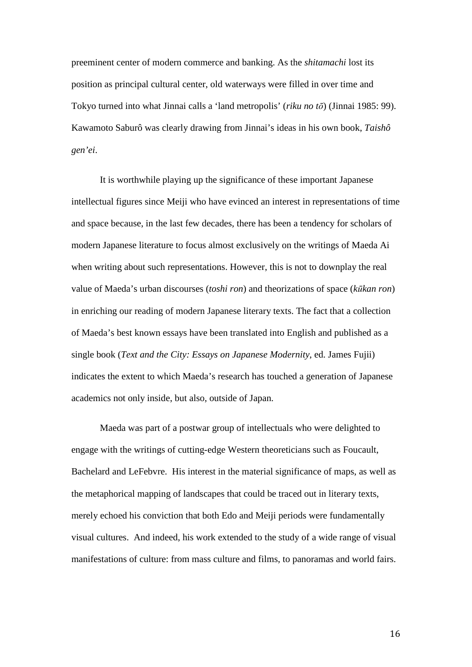preeminent center of modern commerce and banking. As the *shitamachi* lost its position as principal cultural center, old waterways were filled in over time and Tokyo turned into what Jinnai calls a 'land metropolis' (*riku no tō*) (Jinnai 1985: 99). Kawamoto Saburô was clearly drawing from Jinnai's ideas in his own book, *Taishô gen'ei*.

It is worthwhile playing up the significance of these important Japanese intellectual figures since Meiji who have evinced an interest in representations of time and space because, in the last few decades, there has been a tendency for scholars of modern Japanese literature to focus almost exclusively on the writings of Maeda Ai when writing about such representations. However, this is not to downplay the real value of Maeda's urban discourses (*toshi ron*) and theorizations of space (*kūkan ron*) in enriching our reading of modern Japanese literary texts. The fact that a collection of Maeda's best known essays have been translated into English and published as a single book (*Text and the City: Essays on Japanese Modernity*, ed. James Fujii) indicates the extent to which Maeda's research has touched a generation of Japanese academics not only inside, but also, outside of Japan.

Maeda was part of a postwar group of intellectuals who were delighted to engage with the writings of cutting-edge Western theoreticians such as Foucault, Bachelard and LeFebvre. His interest in the material significance of maps, as well as the metaphorical mapping of landscapes that could be traced out in literary texts, merely echoed his conviction that both Edo and Meiji periods were fundamentally visual cultures. And indeed, his work extended to the study of a wide range of visual manifestations of culture: from mass culture and films, to panoramas and world fairs.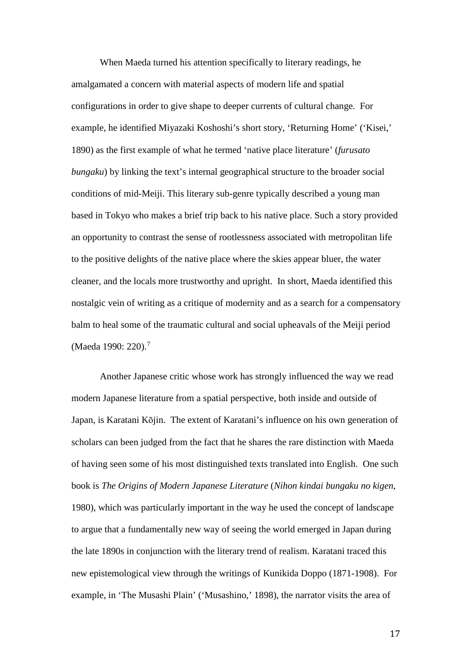When Maeda turned his attention specifically to literary readings, he amalgamated a concern with material aspects of modern life and spatial configurations in order to give shape to deeper currents of cultural change. For example, he identified Miyazaki Koshoshi's short story, 'Returning Home' ('Kisei,' 1890) as the first example of what he termed 'native place literature' (*furusato bungaku*) by linking the text's internal geographical structure to the broader social conditions of mid-Meiji. This literary sub-genre typically described a young man based in Tokyo who makes a brief trip back to his native place. Such a story provided an opportunity to contrast the sense of rootlessness associated with metropolitan life to the positive delights of the native place where the skies appear bluer, the water cleaner, and the locals more trustworthy and upright. In short, Maeda identified this nostalgic vein of writing as a critique of modernity and as a search for a compensatory balm to heal some of the traumatic cultural and social upheavals of the Meiji period (Maeda 1990: 220).<sup>[7](#page-2-5)</sup>

Another Japanese critic whose work has strongly influenced the way we read modern Japanese literature from a spatial perspective, both inside and outside of Japan, is Karatani Kōjin. The extent of Karatani's influence on his own generation of scholars can been judged from the fact that he shares the rare distinction with Maeda of having seen some of his most distinguished texts translated into English. One such book is *The Origins of Modern Japanese Literature* (*Nihon kindai bungaku no kigen*, 1980), which was particularly important in the way he used the concept of landscape to argue that a fundamentally new way of seeing the world emerged in Japan during the late 1890s in conjunction with the literary trend of realism. Karatani traced this new epistemological view through the writings of Kunikida Doppo (1871-1908). For example, in 'The Musashi Plain' ('Musashino,' 1898), the narrator visits the area of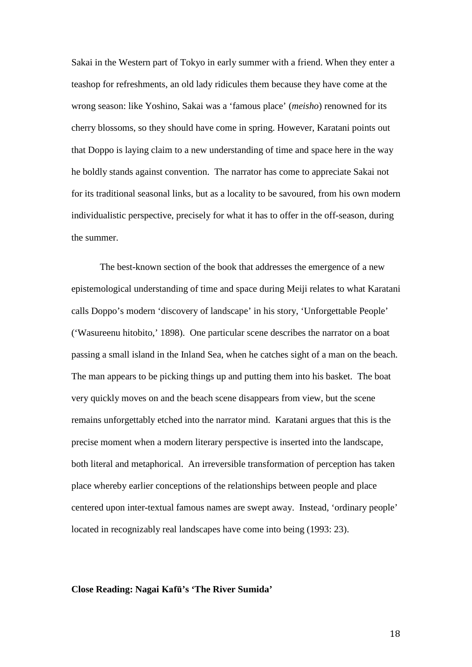Sakai in the Western part of Tokyo in early summer with a friend. When they enter a teashop for refreshments, an old lady ridicules them because they have come at the wrong season: like Yoshino, Sakai was a 'famous place' (*meisho*) renowned for its cherry blossoms, so they should have come in spring. However, Karatani points out that Doppo is laying claim to a new understanding of time and space here in the way he boldly stands against convention. The narrator has come to appreciate Sakai not for its traditional seasonal links, but as a locality to be savoured, from his own modern individualistic perspective, precisely for what it has to offer in the off-season, during the summer.

The best-known section of the book that addresses the emergence of a new epistemological understanding of time and space during Meiji relates to what Karatani calls Doppo's modern 'discovery of landscape' in his story, 'Unforgettable People' ('Wasureenu hitobito,' 1898). One particular scene describes the narrator on a boat passing a small island in the Inland Sea, when he catches sight of a man on the beach. The man appears to be picking things up and putting them into his basket. The boat very quickly moves on and the beach scene disappears from view, but the scene remains unforgettably etched into the narrator mind. Karatani argues that this is the precise moment when a modern literary perspective is inserted into the landscape, both literal and metaphorical. An irreversible transformation of perception has taken place whereby earlier conceptions of the relationships between people and place centered upon inter-textual famous names are swept away. Instead, 'ordinary people' located in recognizably real landscapes have come into being (1993: 23).

## **Close Reading: Nagai Kafū's 'The River Sumida'**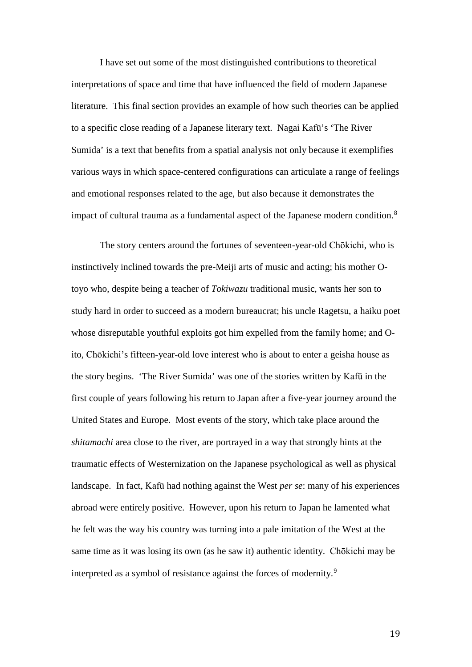I have set out some of the most distinguished contributions to theoretical interpretations of space and time that have influenced the field of modern Japanese literature. This final section provides an example of how such theories can be applied to a specific close reading of a Japanese literary text. Nagai Kafū's 'The River Sumida' is a text that benefits from a spatial analysis not only because it exemplifies various ways in which space-centered configurations can articulate a range of feelings and emotional responses related to the age, but also because it demonstrates the impact of cultural trauma as a fundamental aspect of the Japanese modern condition.<sup>[8](#page-2-6)</sup>

The story centers around the fortunes of seventeen-year-old Chōkichi, who is instinctively inclined towards the pre-Meiji arts of music and acting; his mother Otoyo who, despite being a teacher of *Tokiwazu* traditional music, wants her son to study hard in order to succeed as a modern bureaucrat; his uncle Ragetsu, a haiku poet whose disreputable youthful exploits got him expelled from the family home; and Oito, Chōkichi's fifteen-year-old love interest who is about to enter a geisha house as the story begins. 'The River Sumida' was one of the stories written by Kafū in the first couple of years following his return to Japan after a five-year journey around the United States and Europe. Most events of the story, which take place around the *shitamachi* area close to the river, are portrayed in a way that strongly hints at the traumatic effects of Westernization on the Japanese psychological as well as physical landscape. In fact, Kafū had nothing against the West *per se*: many of his experiences abroad were entirely positive. However, upon his return to Japan he lamented what he felt was the way his country was turning into a pale imitation of the West at the same time as it was losing its own (as he saw it) authentic identity. Chōkichi may be interpreted as a symbol of resistance against the forces of modernity.[9](#page-2-7)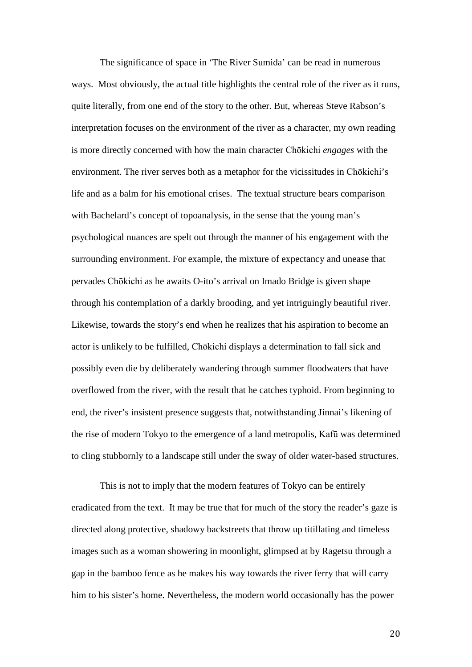The significance of space in 'The River Sumida' can be read in numerous ways. Most obviously, the actual title highlights the central role of the river as it runs, quite literally, from one end of the story to the other. But, whereas Steve Rabson's interpretation focuses on the environment of the river as a character, my own reading is more directly concerned with how the main character Chōkichi *engages* with the environment. The river serves both as a metaphor for the vicissitudes in Chōkichi's life and as a balm for his emotional crises. The textual structure bears comparison with Bachelard's concept of topoanalysis, in the sense that the young man's psychological nuances are spelt out through the manner of his engagement with the surrounding environment. For example, the mixture of expectancy and unease that pervades Chōkichi as he awaits O-ito's arrival on Imado Bridge is given shape through his contemplation of a darkly brooding, and yet intriguingly beautiful river. Likewise, towards the story's end when he realizes that his aspiration to become an actor is unlikely to be fulfilled, Chōkichi displays a determination to fall sick and possibly even die by deliberately wandering through summer floodwaters that have overflowed from the river, with the result that he catches typhoid. From beginning to end, the river's insistent presence suggests that, notwithstanding Jinnai's likening of the rise of modern Tokyo to the emergence of a land metropolis, Kafū was determined to cling stubbornly to a landscape still under the sway of older water-based structures.

This is not to imply that the modern features of Tokyo can be entirely eradicated from the text. It may be true that for much of the story the reader's gaze is directed along protective, shadowy backstreets that throw up titillating and timeless images such as a woman showering in moonlight, glimpsed at by Ragetsu through a gap in the bamboo fence as he makes his way towards the river ferry that will carry him to his sister's home. Nevertheless, the modern world occasionally has the power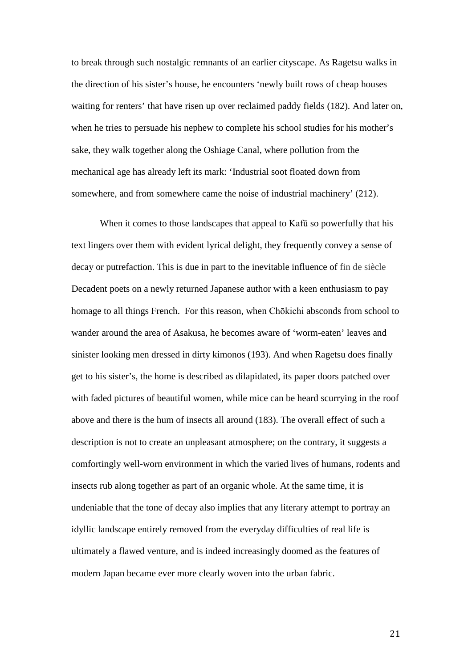to break through such nostalgic remnants of an earlier cityscape. As Ragetsu walks in the direction of his sister's house, he encounters 'newly built rows of cheap houses waiting for renters' that have risen up over reclaimed paddy fields (182). And later on, when he tries to persuade his nephew to complete his school studies for his mother's sake, they walk together along the Oshiage Canal, where pollution from the mechanical age has already left its mark: 'Industrial soot floated down from somewhere, and from somewhere came the noise of industrial machinery' (212).

When it comes to those landscapes that appeal to Kafū so powerfully that his text lingers over them with evident lyrical delight, they frequently convey a sense of decay or putrefaction. This is due in part to the inevitable influence of fin de siècle Decadent poets on a newly returned Japanese author with a keen enthusiasm to pay homage to all things French. For this reason, when Chōkichi absconds from school to wander around the area of Asakusa, he becomes aware of 'worm-eaten' leaves and sinister looking men dressed in dirty kimonos (193). And when Ragetsu does finally get to his sister's, the home is described as dilapidated, its paper doors patched over with faded pictures of beautiful women, while mice can be heard scurrying in the roof above and there is the hum of insects all around (183). The overall effect of such a description is not to create an unpleasant atmosphere; on the contrary, it suggests a comfortingly well-worn environment in which the varied lives of humans, rodents and insects rub along together as part of an organic whole. At the same time, it is undeniable that the tone of decay also implies that any literary attempt to portray an idyllic landscape entirely removed from the everyday difficulties of real life is ultimately a flawed venture, and is indeed increasingly doomed as the features of modern Japan became ever more clearly woven into the urban fabric.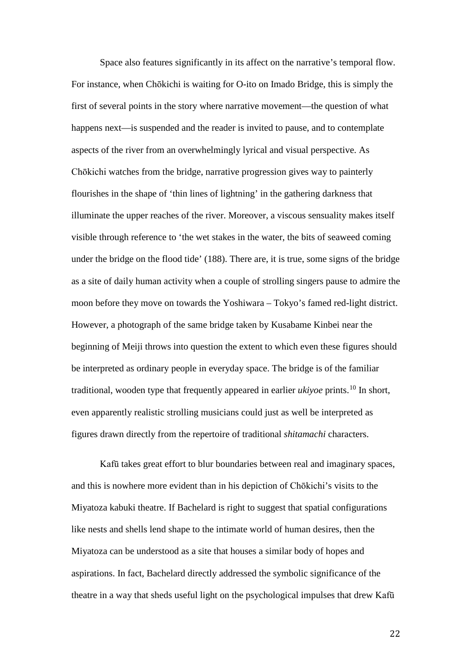Space also features significantly in its affect on the narrative's temporal flow. For instance, when Chōkichi is waiting for O-ito on Imado Bridge, this is simply the first of several points in the story where narrative movement—the question of what happens next—is suspended and the reader is invited to pause, and to contemplate aspects of the river from an overwhelmingly lyrical and visual perspective. As Chōkichi watches from the bridge, narrative progression gives way to painterly flourishes in the shape of 'thin lines of lightning' in the gathering darkness that illuminate the upper reaches of the river. Moreover, a viscous sensuality makes itself visible through reference to 'the wet stakes in the water, the bits of seaweed coming under the bridge on the flood tide' (188). There are, it is true, some signs of the bridge as a site of daily human activity when a couple of strolling singers pause to admire the moon before they move on towards the Yoshiwara – Tokyo's famed red-light district. However, a photograph of the same bridge taken by Kusabame Kinbei near the beginning of Meiji throws into question the extent to which even these figures should be interpreted as ordinary people in everyday space. The bridge is of the familiar traditional, wooden type that frequently appeared in earlier *ukiyoe* prints.[10](#page-3-0) In short, even apparently realistic strolling musicians could just as well be interpreted as figures drawn directly from the repertoire of traditional *shitamachi* characters.

Kafū takes great effort to blur boundaries between real and imaginary spaces, and this is nowhere more evident than in his depiction of Chōkichi's visits to the Miyatoza kabuki theatre. If Bachelard is right to suggest that spatial configurations like nests and shells lend shape to the intimate world of human desires, then the Miyatoza can be understood as a site that houses a similar body of hopes and aspirations. In fact, Bachelard directly addressed the symbolic significance of the theatre in a way that sheds useful light on the psychological impulses that drew Kafū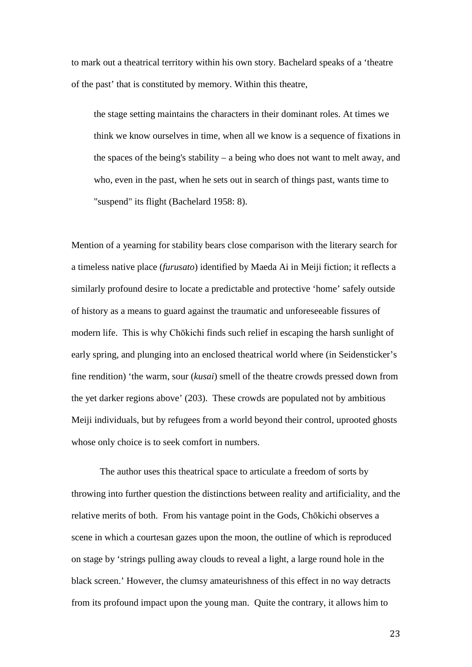to mark out a theatrical territory within his own story. Bachelard speaks of a 'theatre of the past' that is constituted by memory. Within this theatre,

the stage setting maintains the characters in their dominant roles. At times we think we know ourselves in time, when all we know is a sequence of fixations in the spaces of the being's stability – a being who does not want to melt away, and who, even in the past, when he sets out in search of things past, wants time to "suspend" its flight (Bachelard 1958: 8).

Mention of a yearning for stability bears close comparison with the literary search for a timeless native place (*furusato*) identified by Maeda Ai in Meiji fiction; it reflects a similarly profound desire to locate a predictable and protective 'home' safely outside of history as a means to guard against the traumatic and unforeseeable fissures of modern life. This is why Chōkichi finds such relief in escaping the harsh sunlight of early spring, and plunging into an enclosed theatrical world where (in Seidensticker's fine rendition) 'the warm, sour (*kusai*) smell of the theatre crowds pressed down from the yet darker regions above' (203). These crowds are populated not by ambitious Meiji individuals, but by refugees from a world beyond their control, uprooted ghosts whose only choice is to seek comfort in numbers.

The author uses this theatrical space to articulate a freedom of sorts by throwing into further question the distinctions between reality and artificiality, and the relative merits of both. From his vantage point in the Gods, Chōkichi observes a scene in which a courtesan gazes upon the moon, the outline of which is reproduced on stage by 'strings pulling away clouds to reveal a light, a large round hole in the black screen.' However, the clumsy amateurishness of this effect in no way detracts from its profound impact upon the young man. Quite the contrary, it allows him to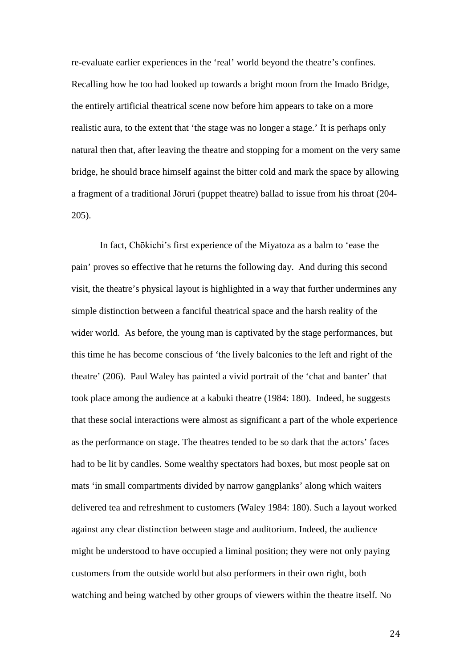re-evaluate earlier experiences in the 'real' world beyond the theatre's confines. Recalling how he too had looked up towards a bright moon from the Imado Bridge, the entirely artificial theatrical scene now before him appears to take on a more realistic aura, to the extent that 'the stage was no longer a stage.' It is perhaps only natural then that, after leaving the theatre and stopping for a moment on the very same bridge, he should brace himself against the bitter cold and mark the space by allowing a fragment of a traditional Jōruri (puppet theatre) ballad to issue from his throat (204- 205).

In fact, Chōkichi's first experience of the Miyatoza as a balm to 'ease the pain' proves so effective that he returns the following day. And during this second visit, the theatre's physical layout is highlighted in a way that further undermines any simple distinction between a fanciful theatrical space and the harsh reality of the wider world. As before, the young man is captivated by the stage performances, but this time he has become conscious of 'the lively balconies to the left and right of the theatre' (206). Paul Waley has painted a vivid portrait of the 'chat and banter' that took place among the audience at a kabuki theatre (1984: 180). Indeed, he suggests that these social interactions were almost as significant a part of the whole experience as the performance on stage. The theatres tended to be so dark that the actors' faces had to be lit by candles. Some wealthy spectators had boxes, but most people sat on mats 'in small compartments divided by narrow gangplanks' along which waiters delivered tea and refreshment to customers (Waley 1984: 180). Such a layout worked against any clear distinction between stage and auditorium. Indeed, the audience might be understood to have occupied a liminal position; they were not only paying customers from the outside world but also performers in their own right, both watching and being watched by other groups of viewers within the theatre itself. No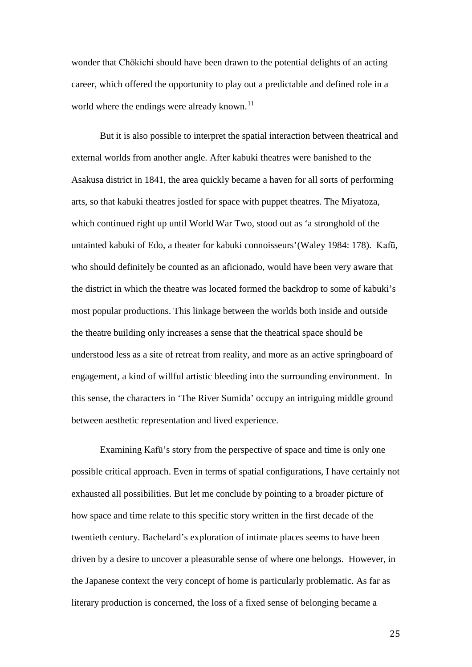wonder that Chōkichi should have been drawn to the potential delights of an acting career, which offered the opportunity to play out a predictable and defined role in a world where the endings were already known.<sup>[11](#page-3-1)</sup>

But it is also possible to interpret the spatial interaction between theatrical and external worlds from another angle. After kabuki theatres were banished to the Asakusa district in 1841, the area quickly became a haven for all sorts of performing arts, so that kabuki theatres jostled for space with puppet theatres. The Miyatoza, which continued right up until World War Two, stood out as 'a stronghold of the untainted kabuki of Edo, a theater for kabuki connoisseurs'(Waley 1984: 178).Kafū, who should definitely be counted as an aficionado, would have been very aware that the district in which the theatre was located formed the backdrop to some of kabuki's most popular productions. This linkage between the worlds both inside and outside the theatre building only increases a sense that the theatrical space should be understood less as a site of retreat from reality, and more as an active springboard of engagement, a kind of willful artistic bleeding into the surrounding environment. In this sense, the characters in 'The River Sumida' occupy an intriguing middle ground between aesthetic representation and lived experience.

Examining Kafū's story from the perspective of space and time is only one possible critical approach. Even in terms of spatial configurations, I have certainly not exhausted all possibilities. But let me conclude by pointing to a broader picture of how space and time relate to this specific story written in the first decade of the twentieth century. Bachelard's exploration of intimate places seems to have been driven by a desire to uncover a pleasurable sense of where one belongs. However, in the Japanese context the very concept of home is particularly problematic. As far as literary production is concerned, the loss of a fixed sense of belonging became a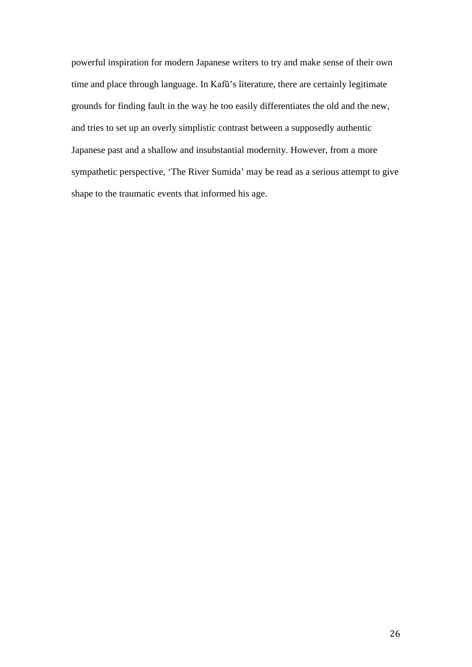powerful inspiration for modern Japanese writers to try and make sense of their own time and place through language. In Kafū's literature, there are certainly legitimate grounds for finding fault in the way he too easily differentiates the old and the new, and tries to set up an overly simplistic contrast between a supposedly authentic Japanese past and a shallow and insubstantial modernity. However, from a more sympathetic perspective, 'The River Sumida' may be read as a serious attempt to give shape to the traumatic events that informed his age.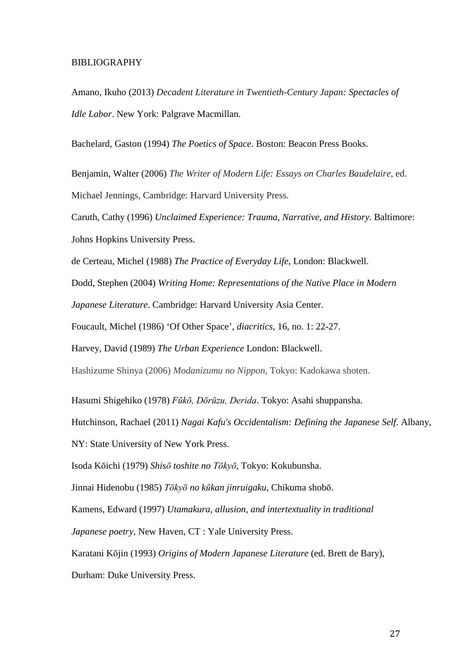#### BIBLIOGRAPHY

Amano, Ikuho (2013) *Decadent Literature in Twentieth-Century Japan: Spectacles of Idle Labor*. New York: Palgrave Macmillan.

Bachelard, Gaston (1994) *The Poetics of Space*. Boston: Beacon Press Books.

Benjamin, Walter (2006) *The Writer of Modern Life: Essays on Charles Baudelaire*, ed. Michael Jennings, Cambridge: Harvard University Press.

Caruth, Cathy (1996) *Unclaimed Experience: Trauma, Narrative, and History*. Baltimore: Johns Hopkins University Press.

de Certeau, Michel (1988) *The Practice of Everyday Life,* London: Blackwell.

Dodd, Stephen (2004) *Writing Home: Representations of the Native Place in Modern* 

*Japanese Literature*. Cambridge: Harvard University Asia Center.

Foucault, Michel (1986) 'Of Other Space', *diacritics*, 16, no. 1: 22-27.

Harvey, David (1989) *The Urban Experience* London: Blackwell.

Hashizume Shinya (2006) *Modanizumu no Nippon*, Tokyo: Kadokawa shoten.

Hasumi Shigehiko (1978) *Fūkō, Dōrūzu, Derida*. Tokyo: Asahi shuppansha.

Hutchinson, Rachael (2011) *Nagai Kafu's Occidentalism: Defining the Japanese Self*. Albany,

NY: State University of New York Press.

Isoda Kōichi (1979) *Shisō toshite no Tōkyō*, Tokyo: Kokubunsha.

Jinnai Hidenobu (1985) *Tōkyō no kūkan jinruigaku*, Chikuma shobō.

Kamens, Edward (1997) *Utamakura, allusion, and intertextuality in traditional* 

*Japanese poetry*, New Haven, CT : Yale University Press.

Karatani Kōjin (1993) *Origins of Modern Japanese Literature* (ed. Brett de Bary), Durham: Duke University Press.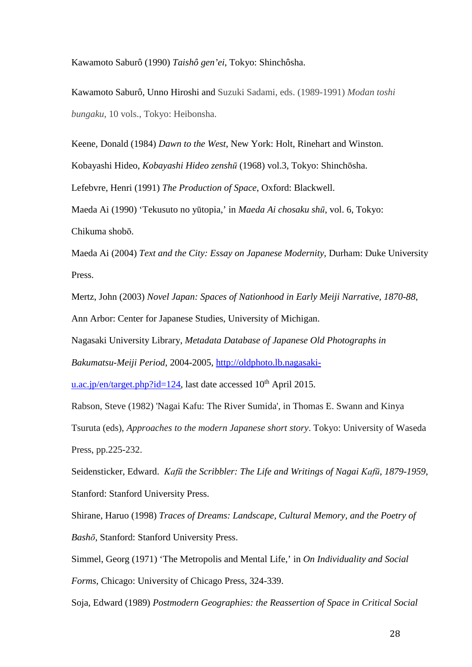Kawamoto Saburô (1990) *Taishô gen'ei*, Tokyo: Shinchôsha.

Kawamoto Saburô, Unno Hiroshi and Suzuki Sadami, eds. (1989-1991) *Modan toshi bungaku*, 10 vols., Tokyo: Heibonsha.

Keene, Donald (1984) *Dawn to the West*, New York: Holt, Rinehart and Winston. Kobayashi Hideo, *Kobayashi Hideo zenshū* (1968) vol.3, Tokyo: Shinchōsha.

Lefebvre, Henri (1991) *The Production of Space*, Oxford: Blackwell.

Maeda Ai (1990) 'Tekusuto no yūtopia,' in *Maeda Ai chosaku shū*, vol. 6, Tokyo: Chikuma shobō.

Maeda Ai (2004) *Text and the City: Essay on Japanese Modernity*, Durham: Duke University Press.

Mertz, John (2003) *Novel Japan: Spaces of Nationhood in Early Meiji Narrative, 1870-88*, Ann Arbor: Center for Japanese Studies, University of Michigan.

Nagasaki University Library, *Metadata Database of Japanese Old Photographs in* 

*Bakumatsu-Meiji Period*, 2004-2005, [http://oldphoto.lb.nagasaki-](http://oldphoto.lb.nagasaki-u.ac.jp/en/target.php?id=124)

[u.ac.jp/en/target.php?id=124,](http://oldphoto.lb.nagasaki-u.ac.jp/en/target.php?id=124) last date accessed  $10^{th}$  April 2015.

Rabson, Steve (1982) 'Nagai Kafu: The River Sumida', in Thomas E. Swann and Kinya

Tsuruta (eds), *Approaches to the modern Japanese short story*. Tokyo: University of Waseda Press, pp.225-232.

Seidensticker, Edward. *Kafū the Scribbler: The Life and Writings of Nagai Kafū, 1879-1959*, Stanford: Stanford University Press.

Shirane, Haruo (1998) *Traces of Dreams: Landscape, Cultural Memory, and the Poetry of Bashō*, Stanford: Stanford University Press.

Simmel, Georg (1971) 'The Metropolis and Mental Life,' in *On Individuality and Social Forms*, Chicago: University of Chicago Press, 324-339.

Soja, Edward (1989) *Postmodern Geographies: the Reassertion of Space in Critical Social*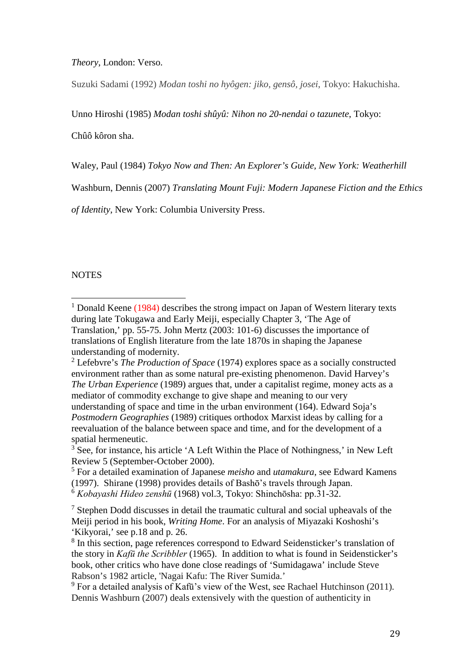## *Theory*, London: Verso.

Suzuki Sadami (1992) *Modan toshi no hyôgen: jiko, gensô, josei*, Tokyo: Hakuchisha.

Unno Hiroshi (1985) *Modan toshi shûyû: Nihon no 20-nendai o tazunete*, Tokyo:

Chûô kôron sha.

Waley, Paul (1984) *Tokyo Now and Then: An Explorer's Guide, New York: Weatherhill*

Washburn, Dennis (2007) *Translating Mount Fuji: Modern Japanese Fiction and the Ethics* 

*of Identity*, New York: Columbia University Press.

**NOTES** 

<sup>&</sup>lt;sup>1</sup> Donald Keene (1984) describes the strong impact on Japan of Western literary texts during late Tokugawa and Early Meiji, especially Chapter 3, 'The Age of Translation,' pp. 55-75. John Mertz (2003: 101-6) discusses the importance of translations of English literature from the late 1870s in shaping the Japanese understanding of modernity.

<sup>2</sup> Lefebvre's *The Production of Space* (1974) explores space as a socially constructed environment rather than as some natural pre-existing phenomenon. David Harvey's *The Urban Experience* (1989) argues that, under a capitalist regime, money acts as a mediator of commodity exchange to give shape and meaning to our very understanding of space and time in the urban environment (164). Edward Soja's *Postmodern Geographies* (1989) critiques orthodox Marxist ideas by calling for a reevaluation of the balance between space and time, and for the development of a spatial hermeneutic.

<sup>&</sup>lt;sup>3</sup> See, for instance, his article 'A Left Within the Place of Nothingness,' in New Left Review 5 (September-October 2000).

<sup>5</sup> For a detailed examination of Japanese *meisho* and *utamakura*, see Edward Kamens (1997). Shirane (1998) provides details of Bashō's travels through Japan.

<sup>6</sup> *Kobayashi Hideo zenshū* (1968) vol.3, Tokyo: Shinchōsha: pp.31-32.

<sup>7</sup> Stephen Dodd discusses in detail the traumatic cultural and social upheavals of the Meiji period in his book, *Writing Home*. For an analysis of Miyazaki Koshoshi's 'Kikyorai,' see p.18 and p. 26.

<sup>&</sup>lt;sup>8</sup> In this section, page references correspond to Edward Seidensticker's translation of the story in *Kafū the Scribbler* (1965). In addition to what is found in Seidensticker's book, other critics who have done close readings of 'Sumidagawa' include Steve Rabson's 1982 article, 'Nagai Kafu: The River Sumida.'

<sup>9</sup> For a detailed analysis of Kafū's view of the West, see Rachael Hutchinson (2011)*.* Dennis Washburn (2007) deals extensively with the question of authenticity in